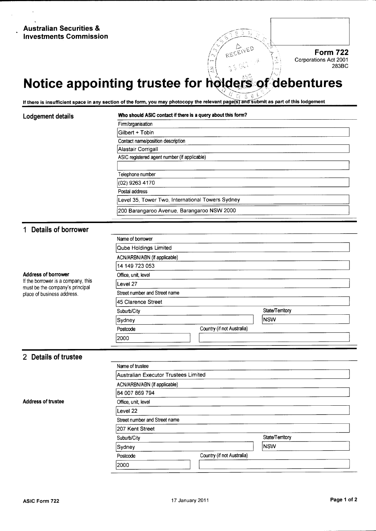## Australian Securities & Investments Commission

# Notice appointing trustee for holders of debentures

 $/ \, \circ$ "

I <sup>l</sup>

If there is insufficient space in any section of the form, you may photocopy the relevant page(s) and submit as part of this lodgement

### Lodgement details Who should ASIC contact if there is a query about this form?

| Firm/organisation                                |  |
|--------------------------------------------------|--|
| Gilbert + Tobin                                  |  |
| Contact name/position description                |  |
| Alastair Corrigall                               |  |
| ASIC registered agent number (if applicable)     |  |
|                                                  |  |
| Telephone number                                 |  |
| (02) 9263 4170                                   |  |
| Postal address                                   |  |
| Level 35, Tower Two, International Towers Sydney |  |
| 200 Barangaroo Avenue, Barangaroo NSW 2000       |  |

.

### <sup>1</sup> Details of borrower

Address of borrower<br>If the borrower is a company, this must be the company's principal place of business address.

| Name of borrower              |                            |                 |
|-------------------------------|----------------------------|-----------------|
| Qube Holdings Limited         |                            |                 |
| ACN/ARBN/ABN (if applicable)  |                            |                 |
| 14 149 723 053                |                            |                 |
| Office, unit, level           |                            |                 |
| lLevel 27                     |                            |                 |
| Street number and Street name |                            |                 |
| 45 Clarence Street            |                            |                 |
| Suburb/City                   |                            | State/Territory |
| Sydney                        |                            | Insw            |
| Postcode                      | Country (if not Australia) |                 |
| 2000                          |                            |                 |
|                               |                            |                 |

### 2 Details of trustee

|                           | Name of trustee                      |                            |                 |  |
|---------------------------|--------------------------------------|----------------------------|-----------------|--|
|                           | Australian Executor Trustees Limited |                            |                 |  |
|                           |                                      |                            |                 |  |
|                           | 84 007 869 794                       |                            |                 |  |
| <b>Address of trustee</b> | Office, unit, level                  |                            |                 |  |
| Level 22                  |                                      |                            |                 |  |
|                           | Street number and Street name        |                            |                 |  |
|                           | 207 Kent Street                      |                            |                 |  |
|                           | Suburb/City                          |                            | State/Territory |  |
|                           | Sydney                               |                            | <b>NSW</b>      |  |
|                           | Postcode                             | Country (if not Australia) |                 |  |
|                           | 2000                                 |                            |                 |  |